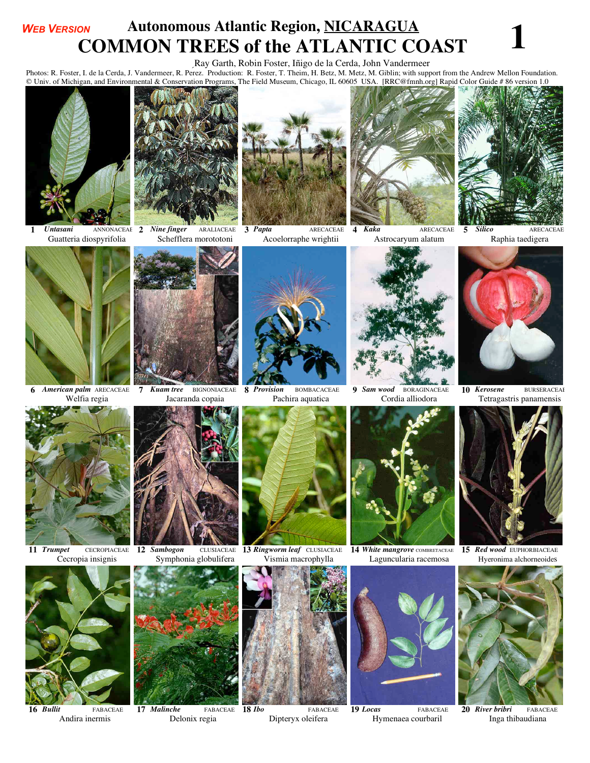## **EXECUTE AUTOROUS ATTAINT AND AUTOMOUS AT ALGOURTY ATTAINT AT LANTIC COAST**<br>**COMMON TREES of the ATLANTIC COAST** *WEB VERSION*

Ray Garth, Robin Foster, Iñigo de la Cerda, John Vandermeer

EXAMPLE OF THE ATLANTIC COAST OF THE ATLANTIC COAST IN THE COAST OF THE ATLANTIC COAST IS A TRISP.<br>Photos: R. Foster, I. de la Cerda, J. Vandermeer, R. Perez. Production: R. Foster, T. Theim, H. Betz, M. Metz, M. Giblin; w © Univ. of Michigan, and Environmental & Conservation Programs, The Field Museum, Chicago, IL 60605 USA. [RRC@fmnh.org] Rapid Color Guide # 86 version 1.0



**1** *Untasani* ANNONACEAE Guatteria diospyrifolia



**3** *Papta* ARECACEAE Acoelorraphe wrightii





**4** *Kaka* ARECACEAE Astrocaryum alatum



**5** *Silico* ARECACEAE<br>Raphia taedigera



**6** *American palm* ARECACEAE Welfia regia



**7** *Kuam tree* BIGNONIACEAE **8** *Provision* 

Jacaranda copaia



**8** *Provision* BOMBACACEAE<br>Pachira aquatica



**9** *Sam wood* BORAGINACEAE Cordia alliodora



10 *Kerosene* BURSERACEAE<br>Tetragastris panamensis



**11** *Trumpet* CECROPIACEAE<br>Cecropia insignis

**16** *Bullit* FABACEAE **Andira inermis** 



**12** *Sambogon* CLUSIACEAE Symphonia globulifera



**17** *Malinche* FABACEAE Delonix regia





**18** *Ibo* FABACEAE Dipteryx oleifera



**13** *Ringworm leaf* CLUSIACEAE **14** *White mangrove* **COMBRETACEAE<br>
Vismia macrophylla [Laguncularia racemosa]** Laguncularia racemosa



**19** *Locas* FABACEAE Hymenaea courbaril



**15** *Red wood* EUPHORBIACEAE Hyeronima alchorneoides



**20** *River bribri* FABACEAE Inga thibaudiana